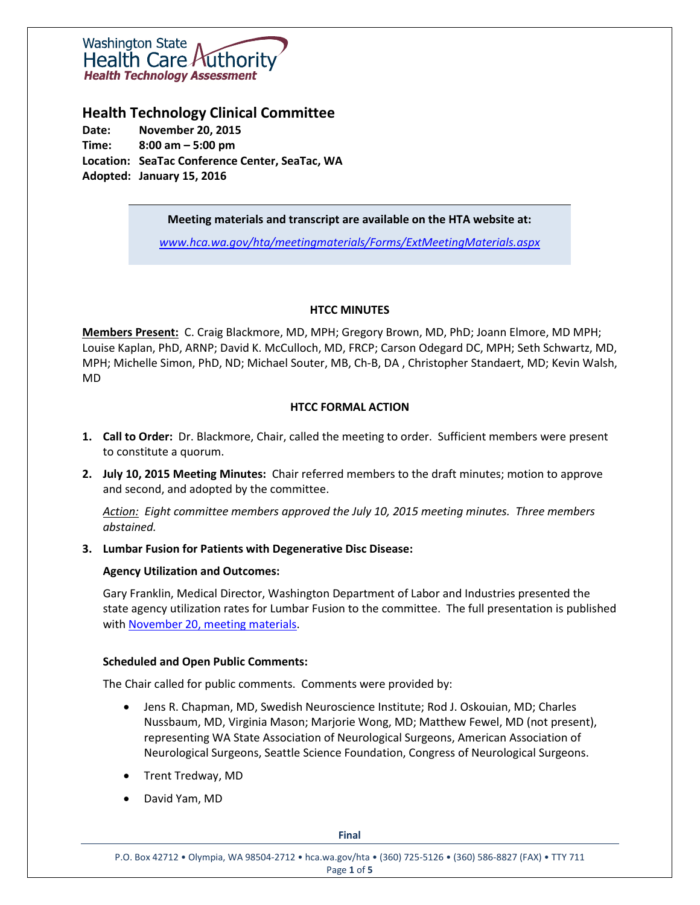

## **Health Technology Clinical Committee**

**Date: November 20, 2015 Time: 8:00 am – 5:00 pm Location: SeaTac Conference Center, SeaTac, WA Adopted: January 15, 2016**

**Meeting materials and transcript are available on the HTA website at:**

*[www.hca.wa.gov/hta/meetingmaterials/Forms/ExtMeetingMaterials.aspx](http://www.hca.wa.gov/hta/meetingmaterials/Forms/ExtMeetingMaterials.aspx)*

### **HTCC MINUTES**

**Members Present:** C. Craig Blackmore, MD, MPH; Gregory Brown, MD, PhD; Joann Elmore, MD MPH; Louise Kaplan, PhD, ARNP; David K. McCulloch, MD, FRCP; Carson Odegard DC, MPH; Seth Schwartz, MD, MPH; Michelle Simon, PhD, ND; Michael Souter, MB, Ch-B, DA , Christopher Standaert, MD; Kevin Walsh, MD

### **HTCC FORMAL ACTION**

- **1. Call to Order:** Dr. Blackmore, Chair, called the meeting to order. Sufficient members were present to constitute a quorum.
- **2. July 10, 2015 Meeting Minutes:** Chair referred members to the draft minutes; motion to approve and second, and adopted by the committee.

*Action: Eight committee members approved the July 10, 2015 meeting minutes. Three members abstained.* 

#### **3. Lumbar Fusion for Patients with Degenerative Disc Disease:**

### **Agency Utilization and Outcomes:**

Gary Franklin, Medical Director, Washington Department of Labor and Industries presented the state agency utilization rates for Lumbar Fusion to the committee. The full presentation is published with November 20, [meeting materials.](http://www.hca.wa.gov/hta/meetingmaterials/Forms/ExtMeetingMaterials.aspx)

#### **Scheduled and Open Public Comments:**

The Chair called for public comments. Comments were provided by:

- Jens R. Chapman, MD, Swedish Neuroscience Institute; Rod J. Oskouian, MD; Charles Nussbaum, MD, Virginia Mason; Marjorie Wong, MD; Matthew Fewel, MD (not present), representing WA State Association of Neurological Surgeons, American Association of Neurological Surgeons, Seattle Science Foundation, Congress of Neurological Surgeons.
- Trent Tredway, MD
- David Yam, MD

**Final**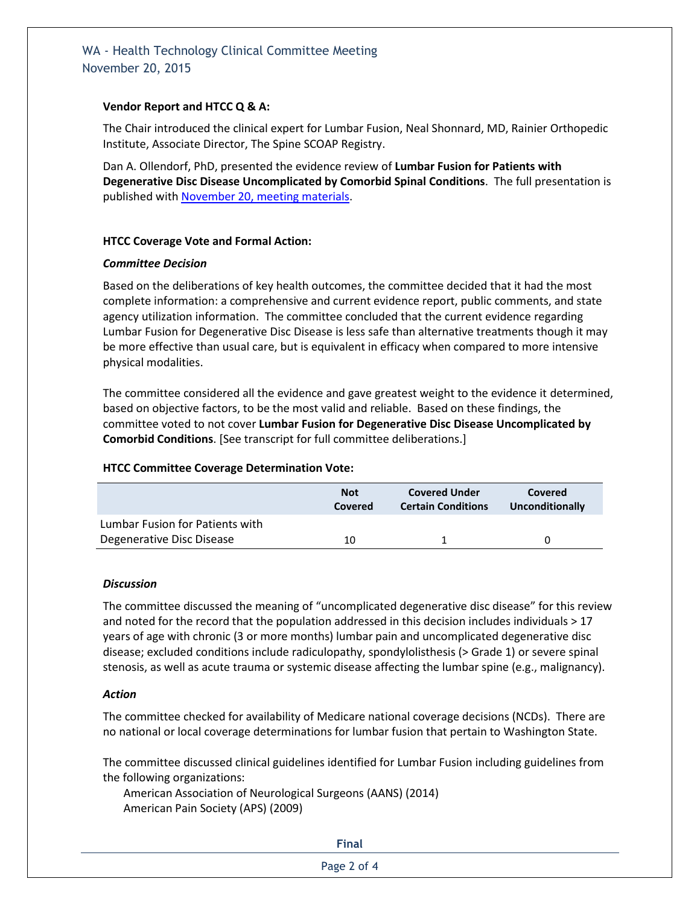# WA - Health Technology Clinical Committee Meeting November 20, 2015

### **Vendor Report and HTCC Q & A:**

The Chair introduced the clinical expert for Lumbar Fusion, Neal Shonnard, MD, Rainier Orthopedic Institute, Associate Director, The Spine SCOAP Registry.

Dan A. Ollendorf, PhD, presented the evidence review of **Lumbar Fusion for Patients with Degenerative Disc Disease Uncomplicated by Comorbid Spinal Conditions**. The full presentation is published with November 20, [meeting materials.](http://www.hca.wa.gov/hta/meetingmaterials/Forms/ExtMeetingMaterials.aspx)

### **HTCC Coverage Vote and Formal Action:**

#### *Committee Decision*

Based on the deliberations of key health outcomes, the committee decided that it had the most complete information: a comprehensive and current evidence report, public comments, and state agency utilization information. The committee concluded that the current evidence regarding Lumbar Fusion for Degenerative Disc Disease is less safe than alternative treatments though it may be more effective than usual care, but is equivalent in efficacy when compared to more intensive physical modalities.

The committee considered all the evidence and gave greatest weight to the evidence it determined, based on objective factors, to be the most valid and reliable. Based on these findings, the committee voted to not cover **Lumbar Fusion for Degenerative Disc Disease Uncomplicated by Comorbid Conditions**. [See transcript for full committee deliberations.]

### **HTCC Committee Coverage Determination Vote:**

|                                 | <b>Not</b><br>Covered | <b>Covered Under</b><br><b>Certain Conditions</b> | Covered<br>Unconditionally |
|---------------------------------|-----------------------|---------------------------------------------------|----------------------------|
| Lumbar Fusion for Patients with |                       |                                                   |                            |
| Degenerative Disc Disease       | 10                    |                                                   |                            |

### *Discussion*

The committee discussed the meaning of "uncomplicated degenerative disc disease" for this review and noted for the record that the population addressed in this decision includes individuals > 17 years of age with chronic (3 or more months) lumbar pain and uncomplicated degenerative disc disease; excluded conditions include radiculopathy, spondylolisthesis (> Grade 1) or severe spinal stenosis, as well as acute trauma or systemic disease affecting the lumbar spine (e.g., malignancy).

### *Action*

The committee checked for availability of Medicare national coverage decisions (NCDs). There are no national or local coverage determinations for lumbar fusion that pertain to Washington State.

The committee discussed clinical guidelines identified for Lumbar Fusion including guidelines from the following organizations:

American Association of Neurological Surgeons (AANS) (2014) American Pain Society (APS) (2009)

#### **Final**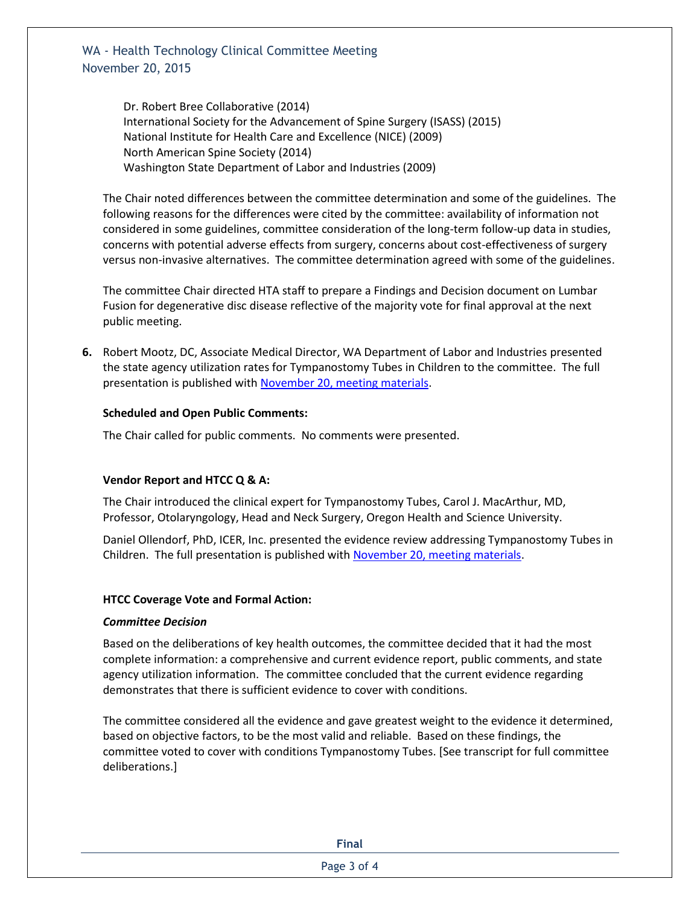WA - Health Technology Clinical Committee Meeting November 20, 2015

> Dr. Robert Bree Collaborative (2014) International Society for the Advancement of Spine Surgery (ISASS) (2015) National Institute for Health Care and Excellence (NICE) (2009) North American Spine Society (2014) Washington State Department of Labor and Industries (2009)

The Chair noted differences between the committee determination and some of the guidelines. The following reasons for the differences were cited by the committee: availability of information not considered in some guidelines, committee consideration of the long-term follow-up data in studies, concerns with potential adverse effects from surgery, concerns about cost-effectiveness of surgery versus non-invasive alternatives. The committee determination agreed with some of the guidelines.

The committee Chair directed HTA staff to prepare a Findings and Decision document on Lumbar Fusion for degenerative disc disease reflective of the majority vote for final approval at the next public meeting.

**6.** Robert Mootz, DC, Associate Medical Director, WA Department of Labor and Industries presented the state agency utilization rates for Tympanostomy Tubes in Children to the committee. The full presentation is published with November 20, [meeting materials.](http://www.hca.wa.gov/hta/meetingmaterials/Forms/ExtMeetingMaterials.aspx)

### **Scheduled and Open Public Comments:**

The Chair called for public comments. No comments were presented.

### **Vendor Report and HTCC Q & A:**

The Chair introduced the clinical expert for Tympanostomy Tubes, Carol J. MacArthur, MD, Professor, Otolaryngology, Head and Neck Surgery, Oregon Health and Science University.

Daniel Ollendorf, PhD, ICER, Inc. presented the evidence review addressing Tympanostomy Tubes in Children. The full presentation is published with November 20, [meeting materials.](http://www.hca.wa.gov/hta/meetingmaterials/Forms/ExtMeetingMaterials.aspx)

#### **HTCC Coverage Vote and Formal Action:**

#### *Committee Decision*

Based on the deliberations of key health outcomes, the committee decided that it had the most complete information: a comprehensive and current evidence report, public comments, and state agency utilization information. The committee concluded that the current evidence regarding demonstrates that there is sufficient evidence to cover with conditions.

The committee considered all the evidence and gave greatest weight to the evidence it determined, based on objective factors, to be the most valid and reliable. Based on these findings, the committee voted to cover with conditions Tympanostomy Tubes. [See transcript for full committee deliberations.]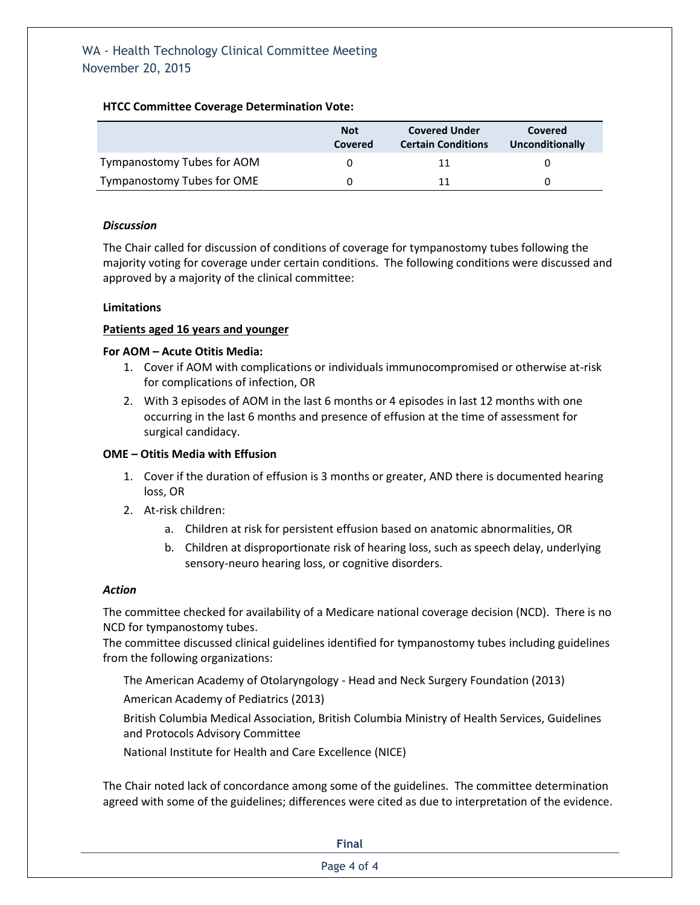### **HTCC Committee Coverage Determination Vote:**

|                            | <b>Not</b><br>Covered | <b>Covered Under</b><br><b>Certain Conditions</b> | Covered<br>Unconditionally |
|----------------------------|-----------------------|---------------------------------------------------|----------------------------|
| Tympanostomy Tubes for AOM |                       | 11                                                |                            |
| Tympanostomy Tubes for OME |                       | 11                                                |                            |

### *Discussion*

The Chair called for discussion of conditions of coverage for tympanostomy tubes following the majority voting for coverage under certain conditions. The following conditions were discussed and approved by a majority of the clinical committee:

### **Limitations**

### **Patients aged 16 years and younger**

### **For AOM – Acute Otitis Media:**

- 1. Cover if AOM with complications or individuals immunocompromised or otherwise at-risk for complications of infection, OR
- 2. With 3 episodes of AOM in the last 6 months or 4 episodes in last 12 months with one occurring in the last 6 months and presence of effusion at the time of assessment for surgical candidacy.

### **OME – Otitis Media with Effusion**

- 1. Cover if the duration of effusion is 3 months or greater, AND there is documented hearing loss, OR
- 2. At-risk children:
	- a. Children at risk for persistent effusion based on anatomic abnormalities, OR
	- b. Children at disproportionate risk of hearing loss, such as speech delay, underlying sensory-neuro hearing loss, or cognitive disorders.

### *Action*

The committee checked for availability of a Medicare national coverage decision (NCD). There is no NCD for tympanostomy tubes.

The committee discussed clinical guidelines identified for tympanostomy tubes including guidelines from the following organizations:

The American Academy of Otolaryngology - Head and Neck Surgery Foundation (2013)

American Academy of Pediatrics (2013)

British Columbia Medical Association, British Columbia Ministry of Health Services, Guidelines and Protocols Advisory Committee

National Institute for Health and Care Excellence (NICE)

The Chair noted lack of concordance among some of the guidelines. The committee determination agreed with some of the guidelines; differences were cited as due to interpretation of the evidence.

| <b>Final</b> |  |
|--------------|--|
| Page 4 of 4  |  |